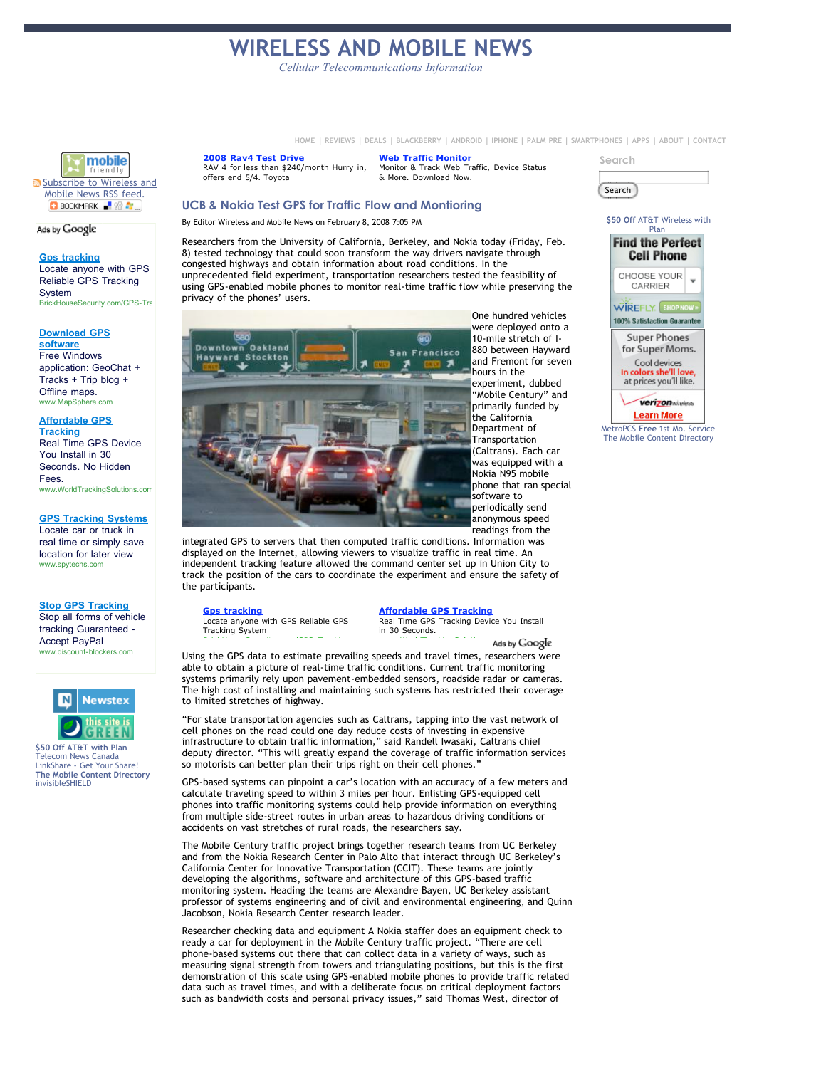# **[WIRELESS AND MOBILE NEWS](http://www.wirelessandmobilenews.com/)**

*Cellular Telecommunications Information*

[HOME](http://www.wirelessandmobilenews.com/index.html) | [REVIEWS](http://www.wirelessandmobilenews.com//review-of-reviews-by-wireless-.html) | [DEALS](http://www.wirelessandmobilenews.com/best-cheapest-discount-deals-and-coupons-for-smartphones-and-cell-phones.html) | [BLACKBERRY](http://www.wirelessandmobilenews.com/blackberry.html) | [ANDROID](http://www.wirelessandmobilenews.com/android.html) | [IPHONE](http://www.wirelessandmobilenews.com/iphone-articles-on-wireless-and-mobile-news.html) | [PALM PRE](http://www.wirelessandmobilenews.com/palm-pre-links-pre-release-from-palm-and-after.html) | [SMARTPHONES](http://www.wirelessandmobilenews.com/smartphones/) | [APPS](http://www.wirelessandmobilenews.com/apps.html) | [ABOUT](http://www.wirelessandmobilenews.com/about.html) | [CONTACT](http://www.wirelessandmobilenews.com/contact.html)

**[2008 Rav4 Test Drive](http://googleads.g.doubleclick.net/aclk?sa=l&ai=Bjm6k6oX6Sd7VMZemqAOQiLyzCazQ_F_QyNaBDMCNtwHgm5ACEAEYASDpj8UHKAI4AFDszdfVAmDJltGGyKOgGaAB5MSR_QOyAR13d3cud2lyZWxlc3NhbmRtb2JpbGVuZXdzLmNvbboBCTQ2OHg2MF9hc8gBAdoBUGh0dHA6Ly93d3cud2lyZWxlc3NhbmRtb2JpbGVuZXdzLmNvbS8yMDA4LzAyL3VjYl9ub2tpYV90ZXN0X2dwc19mb3JfdHJhZmZpYy5odG1syAKAjrsBqAMByAMH6AOaBugD9ALoA6IB9QMAAAAE&num=1&sig=AGiWqtwFebdSmOsVwm-XPlfvV54J5x0WmQ&client=ca-pub-8798212669524680&adurl=http://clickserve.dartsearch.net/link/click%3Flid%3D43000000083499509%26ds_s_kwgid%3D58000000001760480%26ds_e_adid%3D3129598974%26ds_e_matchtype%3Dcontent%26ds_url_v%3D2)** RAV 4 for less than \$240/month Hurry in, offers end 5/4. Toyota

www.BuyAToyota.com

**[Web Traffic Monitor](http://googleads.g.doubleclick.net/aclk?sa=l&ai=BWQ6w6oX6Sd7VMZemqAOQiLyzCd2N35QB55vDtQ_AjbcB0PGGARACGAIg6Y_FBygCOABQtKq74_3_____AWDJltGGyKOgGaABiZO6_QOyAR13d3cud2lyZWxlc3NhbmRtb2JpbGVuZXdzLmNvbboBCTQ2OHg2MF9hc8gBAdoBUGh0dHA6Ly93d3cud2lyZWxlc3NhbmRtb2JpbGVuZXdzLmNvbS8yMDA4LzAyL3VjYl9ub2tpYV90ZXN0X2dwc19mb3JfdHJhZmZpYy5odG1sgAIByAKvvOUEqAMByAMH6AOaBugD9ALoA6IB9QMAAAAE&num=2&sig=AGiWqtxXjHodpKzNYxKt_cWmNBOhIL59kA&client=ca-pub-8798212669524680&adurl=http://tracking.searchmarketing.com/click.asp%3Faid%3D338404325%26_kk%3Dweb%2520traffic%2520monitor%26_kt%3Da9696ab8-fa47-4772-bcf6-98a234560047)** Monitor & Track Web Traffic, Device Status & More. Download Now.

www.SolarWinds.com

#### **UCB & Nokia Test GPS for Traffic Flow and Montioring**

By Editor Wireless and Mobile News on February 8, 2008 7:05 PM

Researchers from the University of California, Berkeley, and Nokia today (Friday, Feb. 8) tested technology that could soon transform the way drivers navigate through congested highways and obtain information about road conditions. In the unprecedented field experiment, transportation researchers tested the feasibility of using GPS-enabled mobile phones to monitor real-time traffic flow while preserving the privacy of the phones' users.



One hundred vehicles were deployed onto a 10-mile stretch of I-880 between Hayward and Fremont for seven hours in the experiment, dubbed 'Mobile Century" and primarily funded by .<br>the California Department of Transportation (Caltrans). Each car was equipped with a Nokia N95 mobile phone that ran special software to periodically send anonymous speed readings from the

integrated GPS to servers that then computed traffic conditions. Information was displayed on the Internet, allowing viewers to visualize traffic in real time. An independent tracking feature allowed the command center set up in Union City to track the position of the cars to coordinate the experiment and ensure the safety of the participants.

**[Gps tracking](http://googleads.g.doubleclick.net/aclk?sa=l&ai=B6spk6oX6Sf_ZNIGyrAPmioy5CdW77mKbxMKcAsCNtwGAxBMQARgDIOmPxQcoAjgAUPmsy6EGYMmW0YbIo6AZoAGngpz-A7IBHXd3dy53aXJlbGVzc2FuZG1vYmlsZW5ld3MuY29tugEJNDY4eDYwX2FzyAEB2gFQaHR0cDovL3d3dy53aXJlbGVzc2FuZG1vYmlsZW5ld3MuY29tLzIwMDgvMDIvdWNiX25va2lhX3Rlc3RfZ3BzX2Zvcl90cmFmZmljLmh0bWzgAQKAAgGoAwHIAwfoA5oG6AP0AugDogH1AwAAAAQ&num=3&sig=AGiWqtwBocYLYhEj3NeTqFumWvnx3q5ucw&client=ca-pub-8798212669524680&adurl=http://www.brickhousesecurity.com/gps-car-tracking-vehicle-logging.html)** Locate anyone with GPS Reliable GPS Tracking System

BrickHouseSecurity.com/GPS-Tracking

**[Affordable GPS Tracking](http://googleads.g.doubleclick.net/aclk?sa=l&ai=B0L-26oX6Sf_ZNIGyrAPmioy5Cfzuuk6skNG1CsCNtwHAmgwQAhgEIOmPxQcoAjgAUJ_IpqD5_____wFgyZbRhsijoBmyAR13d3cud2lyZWxlc3NhbmRtb2JpbGVuZXdzLmNvbboBCTQ2OHg2MF9hc8gBAdoBUGh0dHA6Ly93d3cud2lyZWxlc3NhbmRtb2JpbGVuZXdzLmNvbS8yMDA4LzAyL3VjYl9ub2tpYV90ZXN0X2dwc19mb3JfdHJhZmZpYy5odG1s4AECgAIBqAMByAMH6AOaBugD9ALoA6IB9QMAAAAE&num=4&sig=AGiWqtwx8u0rk4nXeVH68aVwia8Tmyqr8g&client=ca-pub-8798212669524680&adurl=http://www.on2url.com/app/adtrack.asp%3FMerchantID%3D80931%26AdID%3D357142)** Real Time GPS Tracking Device You Install in 30 Seconds.

Ads by Google

Using the GPS data to estimate prevailing speeds and travel times, researchers were able to obtain a picture of real-time traffic conditions. Current traffic monitoring systems primarily rely upon pavement-embedded sensors, roadside radar or cameras. The high cost of installing and maintaining such systems has restricted their coverage to limited stretches of highway.

"For state transportation agencies such as Caltrans, tapping into the vast network of cell phones on the road could one day reduce costs of investing in expensive infrastructure to obtain traffic information," said Randell Iwasaki, Caltrans chief deputy director. "This will greatly expand the coverage of traffic information services so motorists can better plan their trips right on their cell phones."

GPS-based systems can pinpoint a car's location with an accuracy of a few meters and calculate traveling speed to within 3 miles per hour. Enlisting GPS-equipped cell phones into traffic monitoring systems could help provide information on everything from multiple side-street routes in urban areas to hazardous driving conditions or accidents on vast stretches of rural roads, the researchers say.

The Mobile Century traffic project brings together research teams from UC Berkeley and from the Nokia Research Center in Palo Alto that interact through UC Berkeley's California Center for Innovative Transportation (CCIT). These teams are jointly developing the algorithms, software and architecture of this GPS-based traffic monitoring system. Heading the teams are Alexandre Bayen, UC Berkeley assistant professor of systems engineering and of civil and environmental engineering, and Quinn Jacobson, Nokia Research Center research leader.

Researcher checking data and equipment A Nokia staffer does an equipment check to ready a car for deployment in the Mobile Century traffic project. "There are cell phone-based systems out there that can collect data in a variety of ways, such as measuring signal strength from towers and triangulating positions, but this is the first demonstration of this scale using GPS-enabled mobile phones to provide traffic related data such as travel times, and with a deliberate focus on critical deployment factors such as bandwidth costs and personal privacy issues," said Thomas West, director of

| Search |  |
|--------|--|



Cool devices in colors she'll love,<br>at prices you'll like.

> **verizon** wireless **Learn More**

MetroPCS **Free** [1st Mo. Service](http://click.linksynergy.com/fs-bin/click?id=MCBhioyg*S8&offerid=129783.10000008&type=3&subid=0) [The Mobile Content Directory](http://www.themobilecontentdirectory.com/)



## Ads by Google

**[Gps tracking](http://googleads.g.doubleclick.net/aclk?sa=l&ai=B4VRw6oX6SbKRNarYrAOYo5G1CdW77mKbxMKcAsCNtwGwrhUQARgDIOmPxQcoBTgAUPmsy6EGYMmW0YbIo6AZoAGngpz-A7IBHXd3dy53aXJlbGVzc2FuZG1vYmlsZW5ld3MuY29tugEKMTYweDYwMF9hc8gBAdoBUGh0dHA6Ly93d3cud2lyZWxlc3NhbmRtb2JpbGVuZXdzLmNvbS8yMDA4LzAyL3VjYl9ub2tpYV90ZXN0X2dwc19mb3JfdHJhZmZpYy5odG1s4AEDgAIBqAMByAMH6AOaBugD9ALoA6IB9QMAAAAE&num=3&sig=AGiWqtzpqrU7VKB-_nTWZS7_Lt4UmFunPw&client=ca-pub-8798212669524680&adurl=http://www.brickhousesecurity.com/gps-car-tracking-vehicle-logging.html)** Locate anyone with GPS Reliable GPS Tracking **System** 

BrickHouseSecurity.com/GPS-Tra

### **[Download GPS](http://googleads.g.doubleclick.net/aclk?sa=l&ai=BAvwb6oX6SbKRNarYrAOYo5G1CZP54ogB0cmutQbAjbcB0IKoAhACGAQg6Y_FBygFOABQhOnC2ARgyZbRhsijoBmyAR13d3cud2lyZWxlc3NhbmRtb2JpbGVuZXdzLmNvbboBCjE2MHg2MDBfYXPIAQHaAVBodHRwOi8vd3d3LndpcmVsZXNzYW5kbW9iaWxlbmV3cy5jb20vMjAwOC8wMi91Y2Jfbm9raWFfdGVzdF9ncHNfZm9yX3RyYWZmaWMuaHRtbOABA4ACAakCob4IQ_s8YD7IAp31tQyoAwHIAwfoA5oG6AP0AugDogH1AwAAAAQ&num=4&sig=AGiWqtwC0vOtOW8G9PE_IFoO1IE6_CTYtg&client=ca-pub-8798212669524680&adurl=http://www.MapSphere.com)**

**software** Free Windows application: GeoChat + Tracks + Trip blog + Offline maps. www.MapSphere.com

# **[Affordable GPS](http://googleads.g.doubleclick.net/aclk?sa=l&ai=BgUp86oX6SbKRNarYrAOYo5G1Cfzuuk6gvN-yCsCNtwHAmgwQAxgFIOmPxQcoBTgAUJ_IpqD5_____wFgyZbRhsijoBmyAR13d3cud2lyZWxlc3NhbmRtb2JpbGVuZXdzLmNvbboBCjE2MHg2MDBfYXPIAQHaAVBodHRwOi8vd3d3LndpcmVsZXNzYW5kbW9iaWxlbmV3cy5jb20vMjAwOC8wMi91Y2Jfbm9raWFfdGVzdF9ncHNfZm9yX3RyYWZmaWMuaHRtbOABA4ACAagDAcgDB-gDmgboA_QC6AOiAfUDAAAABA&num=5&sig=AGiWqtw9XfYfZa8fknYLeuXBrxwVyy5c6Q&client=ca-pub-8798212669524680&adurl=http://www.on2url.com/app/adtrack.asp%3FMerchantID%3D80931%26AdID%3D357142)**

**Tracking** Real Time GPS Device You Install in 30 Seconds. No Hidden Fees. www.WorldTrackingSolutions.com

#### **[GPS Tracking Systems](http://googleads.g.doubleclick.net/aclk?sa=l&ai=Butez6oX6SbKRNarYrAOYo5G1Cc_z_wGn9ougBMCNtwGwvRAQBBgGIOmPxQcoBTgAUODvzd_8_____wFgyZbRhsijoBmgAfTzvP8DsgEdd3d3LndpcmVsZXNzYW5kbW9iaWxlbmV3cy5jb226AQoxNjB4NjAwX2FzyAEB2gFQaHR0cDovL3d3dy53aXJlbGVzc2FuZG1vYmlsZW5ld3MuY29tLzIwMDgvMDIvdWNiX25va2lhX3Rlc3RfZ3BzX2Zvcl90cmFmZmljLmh0bWzgAQOAAgGoAwHIAwfoA5oG6AP0AugDogH1AwAAAAQ&num=6&sig=AGiWqtw_bH6536LSvPTDVC3aRI-_dbaxhA&client=ca-pub-8798212669524680&adurl=http://www.spytechs.com/gps/default.htm)** Locate car or truck in real time or simply save location for later view www.spytechs.com

**[Stop GPS Tracking](http://googleads.g.doubleclick.net/aclk?sa=l&ai=BSjRK6oX6SbKRNarYrAOYo5G1CYHF0JQBk_7QpAXAjbcB8NccEAUYByDpj8UHKAU4AFCd6qb1BmDJltGGyKOgGbIBHXd3dy53aXJlbGVzc2FuZG1vYmlsZW5ld3MuY29tugEKMTYweDYwMF9hc8gBAdoBUGh0dHA6Ly93d3cud2lyZWxlc3NhbmRtb2JpbGVuZXdzLmNvbS8yMDA4LzAyL3VjYl9ub2tpYV90ZXN0X2dwc19mb3JfdHJhZmZpYy5odG1s4AEDyALvmZYKqAMByAMH6AOaBugD9ALoA6IB9QMAAAAE&num=7&sig=AGiWqtz7liPOBE-2b3gLZFFtjU32erHXGQ&client=ca-pub-8798212669524680&adurl=http://www.discount-blockers.com/)** Stop all forms of vehicle tracking Guaranteed - Accept PayPal discount-blockers.com



**[\\$50 Off AT&T with Plan](http://click.linksynergy.com/fs-bin/click?id=MCBhioyg*S8&offerid=164736.10000212&type=3&subid=0)** [Telecom News Canada](http://www.teleclick.ca/) [LinkShare - Get Your Share!](http://click.linksynergy.com/fs-bin/stat?id=MCBhioyg*S8&offerid=7097.10000012&type=3&subid=0) **[The Mobile Content Directory](http://www.themobilecontentdirectory.com/)** [invisibleSHIELD](http://www.dpbolvw.net/fp65lnwtnvAEDGDFDDACBGGBIJK)